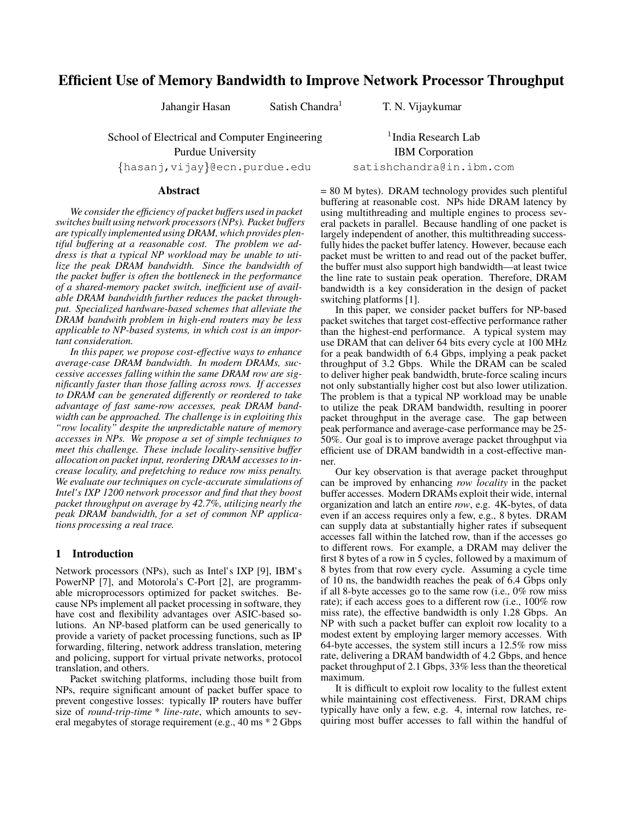# **Efficient Use of Memory Bandwidth to Improve Network Processor Throughput**

Jahangir Hasan Satish Chandra<sup>1</sup>

T. N. Vijaykumar

<sup>1</sup>India Research Lab IBM Corporation satishchandra@in.ibm.com

School of Electrical and Computer Engineering Purdue University  $\{\mathtt{hasanj,vi\} }$ @ecn.purdue.edu

**Abstract**

*We consider the efficiency of packet buffers used in packet switches built using network processors (NPs). Packet buffers are typically implemented using DRAM, which provides plentiful buffering at a reasonable cost. The problem we address is that a typical NP workload may be unable to utilize the peak DRAM bandwidth. Since the bandwidth of the packet buffer is often the bottleneck in the performance of a shared-memory packet switch, inefficient use of available DRAM bandwidth further reduces the packet throughput. Specialized hardware-based schemes that alleviate the DRAM bandwith problem in high-end routers may be less applicable to NP-based systems, in which cost is an important consideration.*

*In this paper, we propose cost-effective ways to enhance average-case DRAM bandwidth. In modern DRAMs, successive accesses falling within the same DRAM row are significantly faster than those falling across rows. If accesses to DRAM can be generated differently or reordered to take advantage of fast same-row accesses, peak DRAM bandwidth can be approached. The challenge is in exploiting this "row locality" despite the unpredictable nature of memory accesses in NPs. We propose a set of simple techniques to meet this challenge. These include locality-sensitive buffer allocation on packet input, reordering DRAM accesses to increase locality, and prefetching to reduce row miss penalty. We evaluate our techniques on cycle-accurate simulations of Intel's IXP 1200 network processor and find that they boost packet throughput on average by 42.7%, utilizing nearly the peak DRAM bandwidth, for a set of common NP applications processing a real trace.*

# **1 Introduction**

Network processors (NPs), such as Intel's IXP [9], IBM's PowerNP [7], and Motorola's C-Port [2], are programmable microprocessors optimized for packet switches. Because NPs implement all packet processing in software, they have cost and flexibility advantages over ASIC-based solutions. An NP-based platform can be used generically to provide a variety of packet processing functions, such as IP forwarding, filtering, network address translation, metering and policing, support for virtual private networks, protocol translation, and others.

Packet switching platforms, including those built from NPs, require significant amount of packet buffer space to prevent congestive losses: typically IP routers have buffer size of *round-trip-time* \* *line-rate*, which amounts to several megabytes of storage requirement (e.g., 40 ms \* 2 Gbps = 80 M bytes). DRAM technology provides such plentiful buffering at reasonable cost. NPs hide DRAM latency by using multithreading and multiple engines to process several packets in parallel. Because handling of one packet is largely independent of another, this multithreading successfully hides the packet buffer latency. However, because each packet must be written to and read out of the packet buffer, the buffer must also support high bandwidth—at least twice the line rate to sustain peak operation. Therefore, DRAM bandwidth is a key consideration in the design of packet switching platforms [1].

In this paper, we consider packet buffers for NP-based packet switches that target cost-effective performance rather than the highest-end performance. A typical system may use DRAM that can deliver 64 bits every cycle at 100 MHz for a peak bandwidth of 6.4 Gbps, implying a peak packet throughput of 3.2 Gbps. While the DRAM can be scaled to deliver higher peak bandwidth, brute-force scaling incurs not only substantially higher cost but also lower utilization. The problem is that a typical NP workload may be unable to utilize the peak DRAM bandwidth, resulting in poorer packet throughput in the average case. The gap between peak performance and average-case performance may be 25- 50%. Our goal is to improve average packet throughput via efficient use of DRAM bandwidth in a cost-effective manner.

Our key observation is that average packet throughput can be improved by enhancing *row locality* in the packet buffer accesses. Modern DRAMs exploit their wide, internal organization and latch an entire *row*, e.g. 4K-bytes, of data even if an access requires only a few, e.g., 8 bytes. DRAM can supply data at substantially higher rates if subsequent accesses fall within the latched row, than if the accesses go to different rows. For example, a DRAM may deliver the first 8 bytes of a row in 5 cycles, followed by a maximum of 8 bytes from that row every cycle. Assuming a cycle time of 10 ns, the bandwidth reaches the peak of 6.4 Gbps only if all 8-byte accesses go to the same row (i.e., 0% row miss rate); if each access goes to a different row (i.e., 100% row miss rate), the effective bandwidth is only 1.28 Gbps. An NP with such a packet buffer can exploit row locality to a modest extent by employing larger memory accesses. With 64-byte accesses, the system still incurs a 12.5% row miss rate, delivering a DRAM bandwidth of 4.2 Gbps, and hence packet throughput of 2.1 Gbps, 33% less than the theoretical maximum.

It is difficult to exploit row locality to the fullest extent while maintaining cost effectiveness. First, DRAM chips typically have only a few, e.g. 4, internal row latches, requiring most buffer accesses to fall within the handful of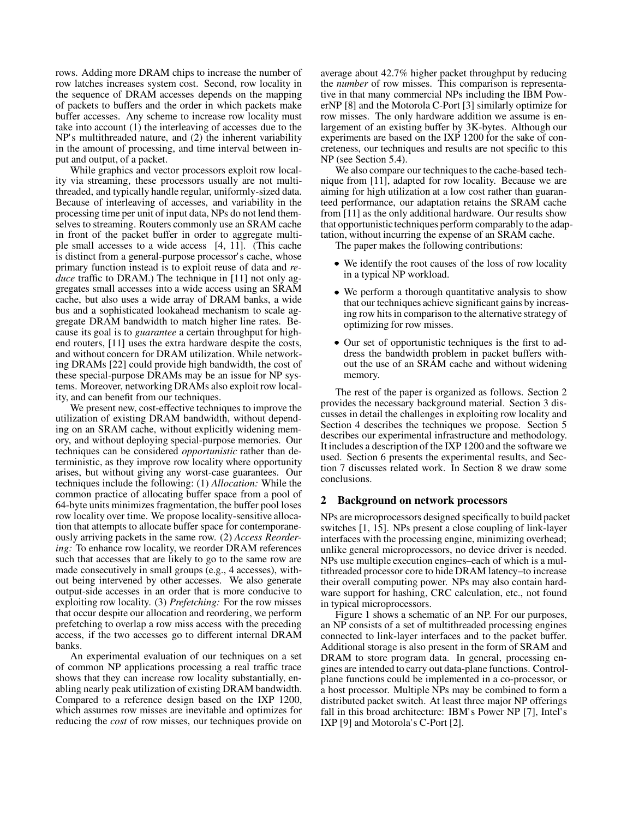rows. Adding more DRAM chips to increase the number of row latches increases system cost. Second, row locality in the sequence of DRAM accesses depends on the mapping of packets to buffers and the order in which packets make buffer accesses. Any scheme to increase row locality must take into account (1) the interleaving of accesses due to the NP's multithreaded nature, and (2) the inherent variability in the amount of processing, and time interval between input and output, of a packet.

While graphics and vector processors exploit row locality via streaming, these processors usually are not multithreaded, and typically handle regular, uniformly-sized data. Because of interleaving of accesses, and variability in the processing time per unit of input data, NPs do not lend themselves to streaming. Routers commonly use an SRAM cache in front of the packet buffer in order to aggregate multiple small accesses to a wide access [4, 11]. (This cache is distinct from a general-purpose processor's cache, whose primary function instead is to exploit reuse of data and *reduce* traffic to DRAM.) The technique in [11] not only aggregates small accesses into a wide access using an SRAM cache, but also uses a wide array of DRAM banks, a wide bus and a sophisticated lookahead mechanism to scale aggregate DRAM bandwidth to match higher line rates. Because its goal is to *guarantee* a certain throughput for highend routers, [11] uses the extra hardware despite the costs, and without concern for DRAM utilization. While networking DRAMs [22] could provide high bandwidth, the cost of these special-purpose DRAMs may be an issue for NP systems. Moreover, networking DRAMs also exploit row locality, and can benefit from our techniques.

We present new, cost-effective techniques to improve the utilization of existing DRAM bandwidth, without depending on an SRAM cache, without explicitly widening memory, and without deploying special-purpose memories. Our techniques can be considered *opportunistic* rather than deterministic, as they improve row locality where opportunity arises, but without giving any worst-case guarantees. Our techniques include the following: (1) *Allocation:* While the common practice of allocating buffer space from a pool of 64-byte units minimizes fragmentation, the buffer pool loses row locality over time. We propose locality-sensitive allocation that attempts to allocate buffer space for contemporaneously arriving packets in the same row. (2) *Access Reordering:* To enhance row locality, we reorder DRAM references such that accesses that are likely to go to the same row are made consecutively in small groups (e.g., 4 accesses), without being intervened by other accesses. We also generate output-side accesses in an order that is more conducive to exploiting row locality. (3) *Prefetching:* For the row misses that occur despite our allocation and reordering, we perform prefetching to overlap a row miss access with the preceding access, if the two accesses go to different internal DRAM banks.

An experimental evaluation of our techniques on a set of common NP applications processing a real traffic trace shows that they can increase row locality substantially, enabling nearly peak utilization of existing DRAM bandwidth. Compared to a reference design based on the IXP 1200, which assumes row misses are inevitable and optimizes for reducing the *cost* of row misses, our techniques provide on

average about 42.7% higher packet throughput by reducing the *number* of row misses. This comparison is representative in that many commercial NPs including the IBM PowerNP [8] and the Motorola C-Port [3] similarly optimize for row misses. The only hardware addition we assume is enlargement of an existing buffer by 3K-bytes. Although our experiments are based on the IXP 1200 for the sake of concreteness, our techniques and results are not specific to this NP (see Section 5.4).

We also compare our techniques to the cache-based technique from [11], adapted for row locality. Because we are aiming for high utilization at a low cost rather than guaranteed performance, our adaptation retains the SRAM cache from [11] as the only additional hardware. Our results show that opportunistic techniques perform comparably to the adaptation, without incurring the expense of an SRAM cache.

The paper makes the following contributions:

- We identify the root causes of the loss of row locality in a typical NP workload.
- We perform a thorough quantitative analysis to show that our techniques achieve significant gains by increasing row hitsin comparison to the alternative strategy of optimizing for row misses.
- Our set of opportunistic techniques is the first to address the bandwidth problem in packet buffers without the use of an SRAM cache and without widening memory.

The rest of the paper is organized as follows. Section 2 provides the necessary background material. Section 3 discusses in detail the challenges in exploiting row locality and Section 4 describes the techniques we propose. Section 5 describes our experimental infrastructure and methodology. It includes a description of the IXP 1200 and the software we used. Section 6 presents the experimental results, and Section 7 discusses related work. In Section 8 we draw some conclusions.

# **2 Background on network processors**

NPs are microprocessors designed specifically to build packet switches [1, 15]. NPs present a close coupling of link-layer interfaces with the processing engine, minimizing overhead; unlike general microprocessors, no device driver is needed. NPs use multiple execution engines–each of which is a multithreaded processor core to hide DRAM latency–to increase their overall computing power. NPs may also contain hardware support for hashing, CRC calculation, etc., not found in typical microprocessors.

Figure 1 shows a schematic of an NP. For our purposes, an NP consists of a set of multithreaded processing engines connected to link-layer interfaces and to the packet buffer. Additional storage is also present in the form of SRAM and DRAM to store program data. In general, processing engines are intended to carry out data-plane functions. Controlplane functions could be implemented in a co-processor, or a host processor. Multiple NPs may be combined to form a distributed packet switch. At least three major NP offerings fall in this broad architecture: IBM's Power NP [7], Intel's IXP [9] and Motorola's C-Port [2].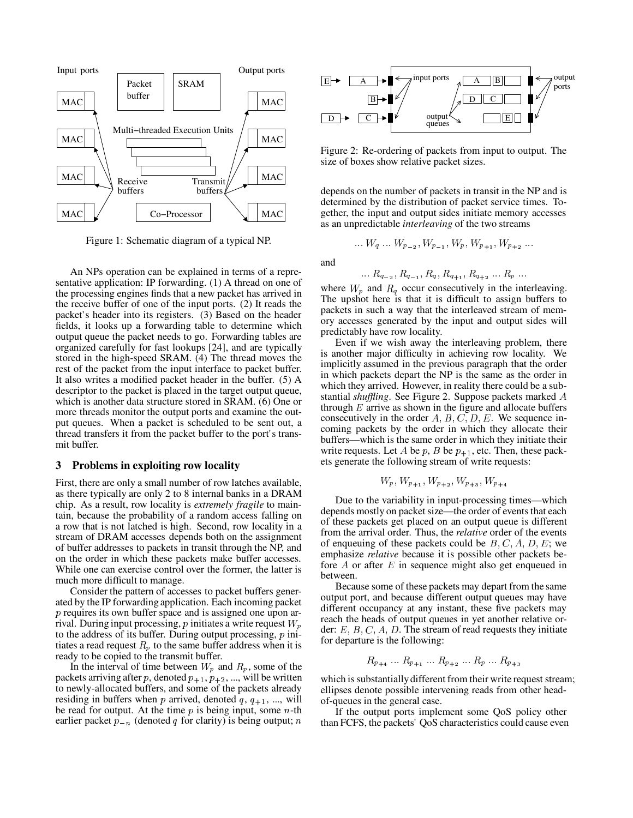

Figure 1: Schematic diagram of a typical NP.

An NPs operation can be explained in terms of a representative application: IP forwarding. (1) A thread on one of the processing engines finds that a new packet has arrived in the receive buffer of one of the input ports. (2) It reads the packet's header into its registers. (3) Based on the header fields, it looks up a forwarding table to determine which output queue the packet needs to go. Forwarding tables are organized carefully for fast lookups [24], and are typically stored in the high-speed SRAM. (4) The thread moves the rest of the packet from the input interface to packet buffer. It also writes a modified packet header in the buffer. (5) A descriptor to the packet is placed in the target output queue, which is another data structure stored in SRAM. (6) One or more threads monitor the output ports and examine the output queues. When a packet is scheduled to be sent out, a thread transfers it from the packet buffer to the port's transmit buffer.

# **3 Problems in exploiting row locality**

First, there are only a small number of row latches available, as there typically are only 2 to 8 internal banks in a DRAM chip. As a result, row locality is *extremely fragile* to maintain, because the probability of a random access falling on a row that is not latched is high. Second, row locality in a stream of DRAM accesses depends both on the assignment of buffer addresses to packets in transit through the NP, and on the order in which these packets make buffer accesses. While one can exercise control over the former, the latter is much more difficult to manage.

Consider the pattern of accesses to packet buffers generated by the IP forwarding application. Each incoming packet  $p$  requires its own buffer space and is assigned one upon arrival. During input processing, p initiates a write request  $W_p$ to the address of its buffer. During output processing, p initiates a read request  $R_p$  to the same buffer address when it is ready to be copied to the transmit buffer.

In the interval of time between  $W_p$  and  $R_p$ , some of the packets arriving after p, denoted  $p_{+1}, p_{+2}, ...,$  will be written to newly-allocated buffers, and some of the packets already residing in buffers when p arrived, denoted  $q, q_{+1}, ...,$  will be read for output. At the time  $p$  is being input, some  $n$ -th earlier packet  $p_{-n}$  (denoted q for clarity) is being output; n



Figure 2: Re-ordering of packets from input to output. The size of boxes show relative packet sizes.

depends on the number of packets in transit in the NP and is determined by the distribution of packet service times. Together, the input and output sides initiate memory accesses as an unpredictable *interleaving* of the two streams

$$
\dots W_q \dots W_{p_{-2}}, W_{p_{-1}}, W_p, W_{p_{+1}}, W_{p_{+2}} \dots
$$

and

$$
\ldots R_{q_{-2}}, R_{q_{-1}}, R_q, R_{q_{+1}}, R_{q_{+2}} \ldots R_p \ldots
$$

where  $W_p$  and  $R_q$  occur consecutively in the interleaving. The upshot here is that it is difficult to assign buffers to packets in such a way that the interleaved stream of memory accesses generated by the input and output sides will predictably have row locality.

Even if we wish away the interleaving problem, there is another major difficulty in achieving row locality. We implicitly assumed in the previous paragraph that the order in which packets depart the NP is the same as the order in which they arrived. However, in reality there could be a substantial *shuffling*. See Figure 2. Suppose packets marked A through  $E$  arrive as shown in the figure and allocate buffers consecutively in the order  $A, B, C, D, E$ . We sequence incoming packets by the order in which they allocate their buffers—which is the same order in which they initiate their write requests. Let A be  $p$ , B be  $p_{+1}$ , etc. Then, these packets generate the following stream of write requests:

$$
W_p, W_{p+1}, W_{p+2}, W_{p+3}, W_{p+4}
$$

Due to the variability in input-processing times—which depends mostly on packet size—the order of events that each of these packets get placed on an output queue is different from the arrival order. Thus, the *relative* order of the events of enqueuing of these packets could be  $B, C, A, D, E$ ; we emphasize *relative* because it is possible other packets before  $A$  or after  $E$  in sequence might also get enqueued in between.

Because some of these packets may depart from the same output port, and because different output queues may have different occupancy at any instant, these five packets may reach the heads of output queues in yet another relative order:  $E$ ,  $B$ ,  $C$ ,  $A$ ,  $D$ . The stream of read requests they initiate for departure is the following:

$$
R_{p_{+4}}...R_{p_{+1}}...R_{p_{+2}}...R_{p}...R_{p_{+3}}
$$

which is substantially different from their write request stream; ellipses denote possible intervening reads from other headof-queues in the general case.

If the output ports implement some QoS policy other than FCFS, the packets' QoS characteristics could cause even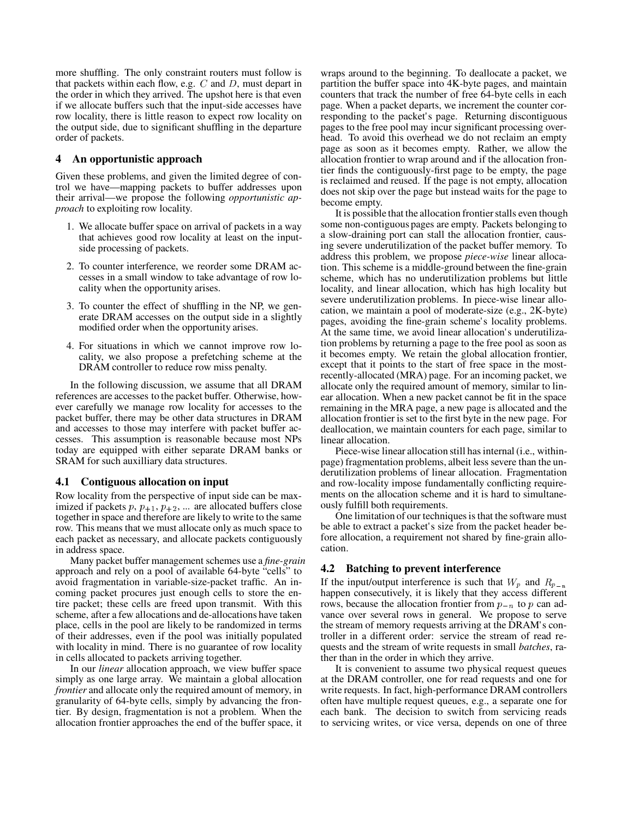more shuffling. The only constraint routers must follow is that packets within each flow, e.g.  $C$  and  $D$ , must depart in the order in which they arrived. The upshot here is that even if we allocate buffers such that the input-side accesses have row locality, there is little reason to expect row locality on the output side, due to significant shuffling in the departure order of packets.

# **4 An opportunistic approach**

Given these problems, and given the limited degree of control we have—mapping packets to buffer addresses upon their arrival—we propose the following *opportunistic approach* to exploiting row locality.

- 1. We allocate buffer space on arrival of packets in a way that achieves good row locality at least on the inputside processing of packets.
- 2. To counter interference, we reorder some DRAM accesses in a small window to take advantage of row locality when the opportunity arises.
- 3. To counter the effect of shuffling in the NP, we generate DRAM accesses on the output side in a slightly modified order when the opportunity arises.
- 4. For situations in which we cannot improve row locality, we also propose a prefetching scheme at the DRAM controller to reduce row miss penalty.

In the following discussion, we assume that all DRAM references are accesses to the packet buffer. Otherwise, however carefully we manage row locality for accesses to the packet buffer, there may be other data structures in DRAM and accesses to those may interfere with packet buffer accesses. This assumption is reasonable because most NPs today are equipped with either separate DRAM banks or SRAM for such auxilliary data structures.

# **4.1 Contiguous allocation on input**

Row locality from the perspective of input side can be maximized if packets  $p, p_{+1}, p_{+2}, \dots$  are allocated buffers close together in space and therefore are likely to write to the same row. This means that we must allocate only as much space to each packet as necessary, and allocate packets contiguously in address space.

Many packet buffer management schemes use a *fine-grain* approach and rely on a pool of available 64-byte "cells" to avoid fragmentation in variable-size-packet traffic. An incoming packet procures just enough cells to store the entire packet; these cells are freed upon transmit. With this scheme, after a few allocations and de-allocations have taken place, cells in the pool are likely to be randomized in terms of their addresses, even if the pool was initially populated with locality in mind. There is no guarantee of row locality in cells allocated to packets arriving together.

In our *linear* allocation approach, we view buffer space simply as one large array. We maintain a global allocation *frontier* and allocate only the required amount of memory, in granularity of 64-byte cells, simply by advancing the frontier. By design, fragmentation is not a problem. When the allocation frontier approaches the end of the buffer space, it wraps around to the beginning. To deallocate a packet, we partition the buffer space into 4K-byte pages, and maintain counters that track the number of free 64-byte cells in each page. When a packet departs, we increment the counter corresponding to the packet's page. Returning discontiguous pages to the free pool may incur significant processing overhead. To avoid this overhead we do not reclaim an empty page as soon as it becomes empty. Rather, we allow the allocation frontier to wrap around and if the allocation frontier finds the contiguously-first page to be empty, the page is reclaimed and reused. If the page is not empty, allocation does not skip over the page but instead waits for the page to become empty.

It is possible that the allocation frontier stalls even though some non-contiguous pages are empty. Packets belonging to a slow-draining port can stall the allocation frontier, causing severe underutilization of the packet buffer memory. To address this problem, we propose *piece-wise* linear allocation. This scheme is a middle-ground between the fine-grain scheme, which has no underutilization problems but little locality, and linear allocation, which has high locality but severe underutilization problems. In piece-wise linear allocation, we maintain a pool of moderate-size (e.g., 2K-byte) pages, avoiding the fine-grain scheme's locality problems. At the same time, we avoid linear allocation's underutilization problems by returning a page to the free pool as soon as it becomes empty. We retain the global allocation frontier, except that it points to the start of free space in the mostrecently-allocated (MRA) page. For an incoming packet, we allocate only the required amount of memory, similar to linear allocation. When a new packet cannot be fit in the space remaining in the MRA page, a new page is allocated and the allocation frontier is set to the first byte in the new page. For deallocation, we maintain counters for each page, similar to linear allocation.

Piece-wise linear allocation still has internal (i.e., withinpage) fragmentation problems, albeit less severe than the underutilization problems of linear allocation. Fragmentation and row-locality impose fundamentally conflicting requirements on the allocation scheme and it is hard to simultaneously fulfill both requirements.

One limitation of our techniques is that the software must be able to extract a packet's size from the packet header before allocation, a requirement not shared by fine-grain allocation.

# **4.2 Batching to prevent interference**

If the input/output interference is such that  $W_p$  and  $R_{p-n}$ happen consecutively, it is likely that they access different rows, because the allocation frontier from  $p_{-n}$  to p can advance over several rows in general. We propose to serve the stream of memory requests arriving at the DRAM's controller in a different order: service the stream of read requests and the stream of write requests in small *batches*, rather than in the order in which they arrive.

It is convenient to assume two physical request queues at the DRAM controller, one for read requests and one for write requests. In fact, high-performance DRAM controllers often have multiple request queues, e.g., a separate one for each bank. The decision to switch from servicing reads to servicing writes, or vice versa, depends on one of three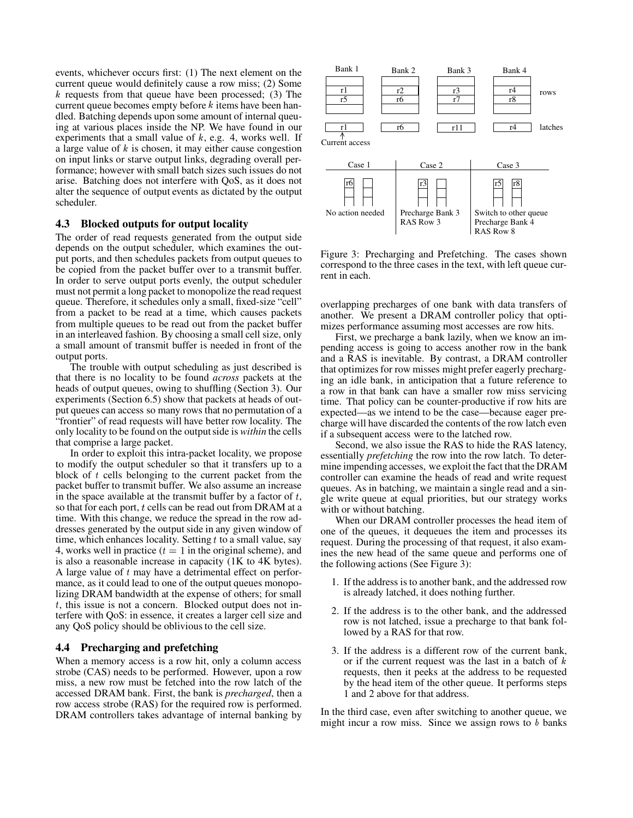events, whichever occurs first: (1) The next element on the current queue would definitely cause a row miss; (2) Some  $k$  requests from that queue have been processed; (3) The current queue becomes empty before  $k$  items have been handled. Batching depends upon some amount of internal queuing at various places inside the NP. We have found in our experiments that a small value of  $k$ , e.g. 4, works well. If a large value of  $k$  is chosen, it may either cause congestion on input links or starve output links, degrading overall performance; however with small batch sizes such issues do not arise. Batching does not interfere with QoS, as it does not alter the sequence of output events as dictated by the output scheduler.

# **4.3 Blocked outputs for output locality**

The order of read requests generated from the output side depends on the output scheduler, which examines the output ports, and then schedules packets from output queues to be copied from the packet buffer over to a transmit buffer. In order to serve output ports evenly, the output scheduler must not permit a long packet to monopolize the read request queue. Therefore, it schedules only a small, fixed-size "cell" from a packet to be read at a time, which causes packets from multiple queues to be read out from the packet buffer in an interleaved fashion. By choosing a small cell size, only a small amount of transmit buffer is needed in front of the output ports.

The trouble with output scheduling as just described is that there is no locality to be found *across* packets at the heads of output queues, owing to shuffling (Section 3). Our experiments (Section 6.5) show that packets at heads of output queues can access so many rows that no permutation of a "frontier" of read requests will have better row locality. The only locality to be found on the outputside is *within* the cells that comprise a large packet.

In order to exploit this intra-packet locality, we propose to modify the output scheduler so that it transfers up to a block of  $t$  cells belonging to the current packet from the packet buffer to transmit buffer. We also assume an increase in the space available at the transmit buffer by a factor of  $t$ , so that for each port,  $t$  cells can be read out from DRAM at a time. With this change, we reduce the spread in the row addresses generated by the output side in any given window of time, which enhances locality. Setting  $t$  to a small value, say 4, works well in practice  $(t = 1$  in the original scheme), and is also a reasonable increase in capacity (1K to 4K bytes). A large value of  $t$  may have a detrimental effect on performance, as it could lead to one of the output queues monopolizing DRAM bandwidth at the expense of others; for small  $t$ , this issue is not a concern. Blocked output does not interfere with QoS: in essence, it creates a larger cell size and any QoS policy should be oblivious to the cell size.

# **4.4 Precharging and prefetching**

When a memory access is a row hit, only a column access strobe (CAS) needs to be performed. However, upon a row miss, a new row must be fetched into the row latch of the accessed DRAM bank. First, the bank is *precharged*, then a row access strobe (RAS) for the required row is performed. DRAM controllers takes advantage of internal banking by



Figure 3: Precharging and Prefetching. The cases shown correspond to the three cases in the text, with left queue current in each.

overlapping precharges of one bank with data transfers of another. We present a DRAM controller policy that optimizes performance assuming most accesses are row hits.

First, we precharge a bank lazily, when we know an impending access is going to access another row in the bank and a RAS is inevitable. By contrast, a DRAM controller that optimizes for row misses might prefer eagerly precharging an idle bank, in anticipation that a future reference to a row in that bank can have a smaller row miss servicing time. That policy can be counter-productive if row hits are expected—as we intend to be the case—because eager precharge will have discarded the contents of the row latch even if a subsequent access were to the latched row.

Second, we also issue the RAS to hide the RAS latency, essentially *prefetching* the row into the row latch. To determine impending accesses, we exploit the fact that the DRAM controller can examine the heads of read and write request queues. As in batching, we maintain a single read and a single write queue at equal priorities, but our strategy works with or without batching.

When our DRAM controller processes the head item of one of the queues, it dequeues the item and processes its request. During the processing of that request, it also examines the new head of the same queue and performs one of the following actions (See Figure 3):

- 1. If the address is to another bank, and the addressed row is already latched, it does nothing further.
- 2. If the address is to the other bank, and the addressed row is not latched, issue a precharge to that bank followed by a RAS for that row.
- 3. If the address is a different row of the current bank, or if the current request was the last in a batch of  $k$ requests, then it peeks at the address to be requested by the head item of the other queue. It performs steps 1 and 2 above for that address.

In the third case, even after switching to another queue, we might incur a row miss. Since we assign rows to  $b$  banks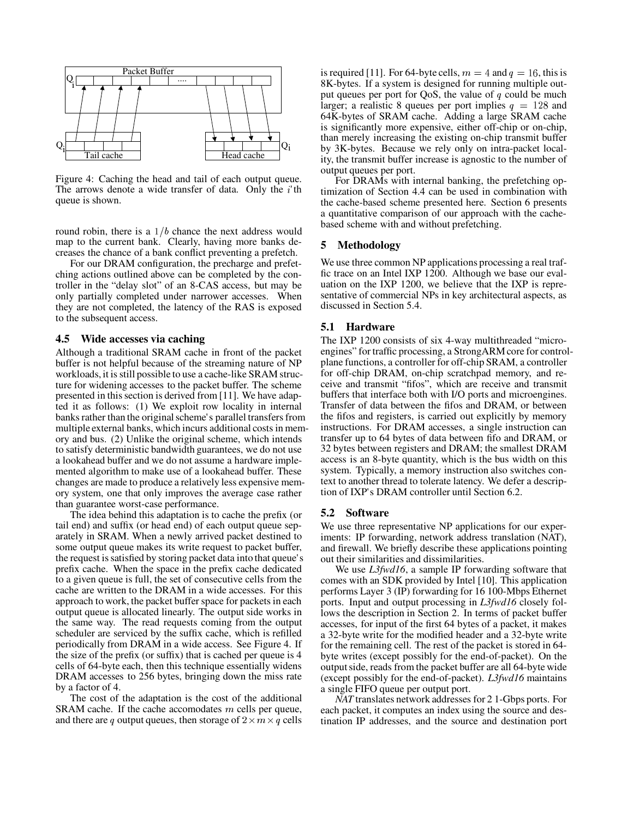

Figure 4: Caching the head and tail of each output queue. The arrows denote a wide transfer of data. Only the  $i'$ th queue is shown.

round robin, there is a  $1/b$  chance the next address would map to the current bank. Clearly, having more banks decreases the chance of a bank conflict preventing a prefetch.

For our DRAM configuration, the precharge and prefetching actions outlined above can be completed by the controller in the "delay slot" of an 8-CAS access, but may be only partially completed under narrower accesses. When they are not completed, the latency of the RAS is exposed to the subsequent access.

# **4.5 Wide accesses via caching**

Although a traditional SRAM cache in front of the packet buffer is not helpful because of the streaming nature of NP workloads, it is still possible to use a cache-like SRAM structure for widening accesses to the packet buffer. The scheme presented in this section is derived from [11]. We have adapted it as follows: (1) We exploit row locality in internal banks rather than the original scheme's parallel transfers from multiple external banks, which incurs additional costs in memory and bus. (2) Unlike the original scheme, which intends to satisfy deterministic bandwidth guarantees, we do not use a lookahead buffer and we do not assume a hardware implemented algorithm to make use of a lookahead buffer. These changes are made to produce a relatively less expensive memory system, one that only improves the average case rather than guarantee worst-case performance.

The idea behind this adaptation is to cache the prefix (or tail end) and suffix (or head end) of each output queue separately in SRAM. When a newly arrived packet destined to some output queue makes its write request to packet buffer, the request issatisfied by storing packet data into that queue's prefix cache. When the space in the prefix cache dedicated to a given queue is full, the set of consecutive cells from the cache are written to the DRAM in a wide accesses. For this approach to work, the packet buffer space for packets in each output queue is allocated linearly. The output side works in the same way. The read requests coming from the output scheduler are serviced by the suffix cache, which is refilled periodically from DRAM in a wide access. See Figure 4. If the size of the prefix (or suffix) that is cached per queue is 4 cells of 64-byte each, then this technique essentially widens DRAM accesses to 256 bytes, bringing down the miss rate by a factor of 4.

The cost of the adaptation is the cost of the additional SRAM cache. If the cache accomodates  $m$  cells per queue, and there are q output queues, then storage of  $2 \times m \times q$  cells is required [11]. For 64-byte cells,  $m = 4$  and  $q = 16$ , this is 8K-bytes. If a system is designed for running multiple output queues per port for QoS, the value of  $q$  could be much larger; a realistic 8 queues per port implies  $q = 128$  and 64K-bytes of SRAM cache. Adding a large SRAM cache is significantly more expensive, either off-chip or on-chip, than merely increasing the existing on-chip transmit buffer by 3K-bytes. Because we rely only on intra-packet locality, the transmit buffer increase is agnostic to the number of output queues per port.

For DRAMs with internal banking, the prefetching optimization of Section 4.4 can be used in combination with the cache-based scheme presented here. Section 6 presents a quantitative comparison of our approach with the cachebased scheme with and without prefetching.

# **5 Methodology**

We use three common NP applications processing a real traffic trace on an Intel IXP 1200. Although we base our evaluation on the IXP 1200, we believe that the IXP is representative of commercial NPs in key architectural aspects, as discussed in Section 5.4.

# **5.1 Hardware**

The IXP 1200 consists of six 4-way multithreaded "microengines" for traffic processing, a StrongARM core for controlplane functions, a controller for off-chip SRAM, a controller for off-chip DRAM, on-chip scratchpad memory, and receive and transmit "fifos", which are receive and transmit buffers that interface both with I/O ports and microengines. Transfer of data between the fifos and DRAM, or between the fifos and registers, is carried out explicitly by memory instructions. For DRAM accesses, a single instruction can transfer up to 64 bytes of data between fifo and DRAM, or 32 bytes between registers and DRAM; the smallest DRAM access is an 8-byte quantity, which is the bus width on this system. Typically, a memory instruction also switches context to another thread to tolerate latency. We defer a description of IXP's DRAM controller until Section 6.2.

# **5.2 Software**

We use three representative NP applications for our experiments: IP forwarding, network address translation (NAT), and firewall. We briefly describe these applications pointing out their similarities and dissimilarities.

We use *L3fwd16*, a sample IP forwarding software that comes with an SDK provided by Intel [10]. This application performs Layer 3 (IP) forwarding for 16 100-Mbps Ethernet ports. Input and output processing in *L3fwd16* closely follows the description in Section 2. In terms of packet buffer accesses, for input of the first 64 bytes of a packet, it makes a 32-byte write for the modified header and a 32-byte write for the remaining cell. The rest of the packet is stored in 64 byte writes (except possibly for the end-of-packet). On the outputside, reads from the packet buffer are all 64-byte wide (except possibly for the end-of-packet). *L3fwd16* maintains a single FIFO queue per output port.

*NAT* translates network addresses for 2 1-Gbps ports. For each packet, it computes an index using the source and destination IP addresses, and the source and destination port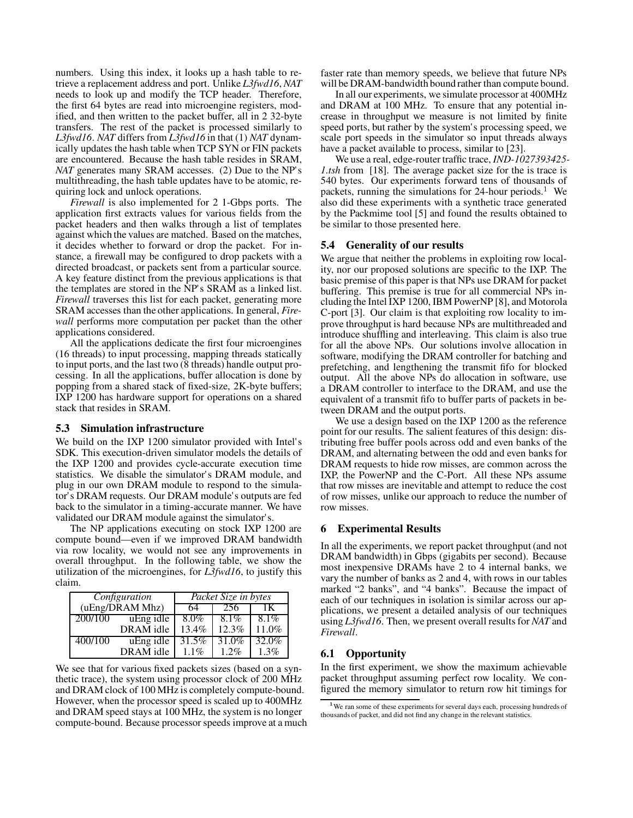numbers. Using this index, it looks up a hash table to retrieve a replacement address and port. Unlike *L3fwd16*, *NAT* needs to look up and modify the TCP header. Therefore, the first 64 bytes are read into microengine registers, modified, and then written to the packet buffer, all in 2 32-byte transfers. The rest of the packet is processed similarly to *L3fwd16*. *NAT* differs from *L3fwd16* in that (1) *NAT* dynamically updates the hash table when TCP SYN or FIN packets are encountered. Because the hash table resides in SRAM, *NAT* generates many SRAM accesses. (2) Due to the NP's multithreading, the hash table updates have to be atomic, requiring lock and unlock operations.

*Firewall* is also implemented for 2 1-Gbps ports. The application first extracts values for various fields from the packet headers and then walks through a list of templates against which the values are matched. Based on the matches, it decides whether to forward or drop the packet. For instance, a firewall may be configured to drop packets with a directed broadcast, or packets sent from a particular source. A key feature distinct from the previous applications is that the templates are stored in the NP's SRAM as a linked list. *Firewall* traverses this list for each packet, generating more SRAM accesses than the other applications. In general, *Firewall* performs more computation per packet than the other applications considered.

All the applications dedicate the first four microengines (16 threads) to input processing, mapping threads statically to input ports, and the last two (8 threads) handle output processing. In all the applications, buffer allocation is done by popping from a shared stack of fixed-size, 2K-byte buffers; IXP 1200 has hardware support for operations on a shared stack that resides in SRAM.

# **5.3 Simulation infrastructure**

We build on the IXP 1200 simulator provided with Intel's SDK. This execution-driven simulator models the details of the IXP 1200 and provides cycle-accurate execution time statistics. We disable the simulator's DRAM module, and plug in our own DRAM module to respond to the simulator's DRAM requests. Our DRAM module's outputs are fed back to the simulator in a timing-accurate manner. We have validated our DRAM module against the simulator's.

The NP applications executing on stock IXP 1200 are compute bound—even if we improved DRAM bandwidth via row locality, we would not see any improvements in overall throughput. In the following table, we show the utilization of the microengines, for *L3fwd16*, to justify this claim.

| Configuration |                 | Packet Size in bytes |         |         |
|---------------|-----------------|----------------------|---------|---------|
|               | (uEng/DRAM Mhz) | 64                   | 256     |         |
| 200/100       | uEng idle       | $8.0\%$              | $8.1\%$ | $8.1\%$ |
|               | DRAM idle       | 13.4%                | 12.3%   | 11.0%   |
| 400/100       | uEng idle       | 31.5%                | 31.0%   | 32.0%   |
|               | DRAM idle       | $1.1\%$              | 1.2%    | 1.3%    |

We see that for various fixed packets sizes (based on a synthetic trace), the system using processor clock of 200 MHz and DRAM clock of 100 MHz is completely compute-bound. However, when the processor speed is scaled up to 400MHz and DRAM speed stays at 100 MHz, the system is no longer compute-bound. Because processor speeds improve at a much faster rate than memory speeds, we believe that future NPs will be DRAM-bandwidth bound rather than compute bound.

In all our experiments, we simulate processor at 400MHz and DRAM at 100 MHz. To ensure that any potential increase in throughput we measure is not limited by finite speed ports, but rather by the system's processing speed, we scale port speeds in the simulator so input threads always have a packet available to process, similar to [23].

We use a real, edge-router traffic trace, *IND-1027393425- 1.tsh* from [18]. The average packet size for the is trace is 540 bytes. Our experiments forward tens of thousands of packets, running the simulations for 24-hour periods.<sup>1</sup> We also did these experiments with a synthetic trace generated by the Packmime tool [5] and found the results obtained to be similar to those presented here.

# **5.4 Generality of our results**

We argue that neither the problems in exploiting row locality, nor our proposed solutions are specific to the IXP. The basic premise of this paper is that NPs use DRAM for packet buffering. This premise is true for all commercial NPs including the Intel IXP 1200, IBM PowerNP [8], and Motorola C-port [3]. Our claim is that exploiting row locality to improve throughput is hard because NPs are multithreaded and introduce shuffling and interleaving. This claim is also true for all the above NPs. Our solutions involve allocation in software, modifying the DRAM controller for batching and prefetching, and lengthening the transmit fifo for blocked output. All the above NPs do allocation in software, use a DRAM controller to interface to the DRAM, and use the equivalent of a transmit fifo to buffer parts of packets in between DRAM and the output ports.

We use a design based on the IXP 1200 as the reference point for our results. The salient features of this design: distributing free buffer pools across odd and even banks of the DRAM, and alternating between the odd and even banks for DRAM requests to hide row misses, are common across the IXP, the PowerNP and the C-Port. All these NPs assume that row misses are inevitable and attempt to reduce the cost of row misses, unlike our approach to reduce the number of row misses.

# **6 Experimental Results**

In all the experiments, we report packet throughput (and not DRAM bandwidth) in Gbps (gigabits per second). Because most inexpensive DRAMs have 2 to 4 internal banks, we vary the number of banks as 2 and 4, with rows in our tables marked "2 banks", and "4 banks". Because the impact of each of our techniques in isolation is similar across our applications, we present a detailed analysis of our techniques using *L3fwd16*. Then, we present overall results for *NAT* and *Firewall*.

# **6.1 Opportunity**

In the first experiment, we show the maximum achievable packet throughput assuming perfect row locality. We configured the memory simulator to return row hit timings for

<sup>&</sup>lt;sup>1</sup>We ran some of these experiments for several days each, processing hundreds of thousands of packet, and did not find any change in the relevant statistics.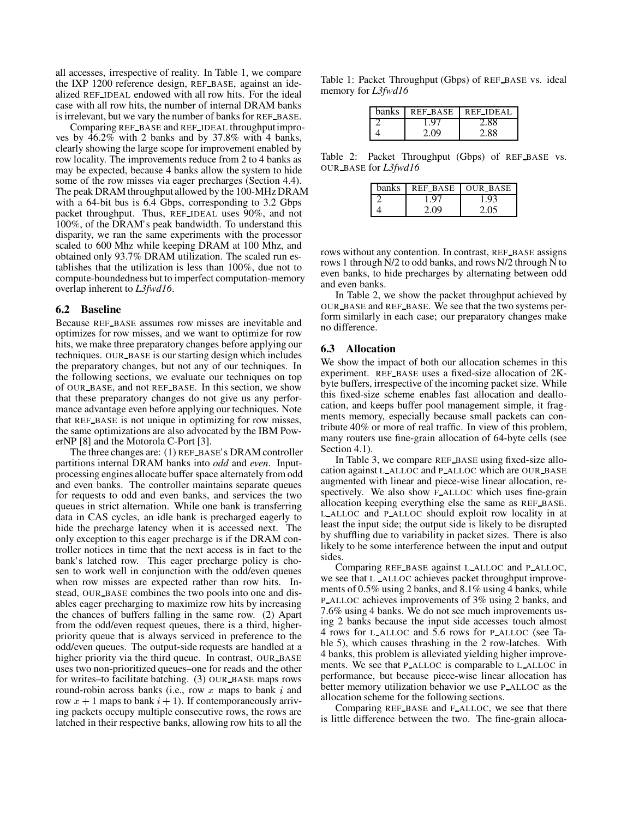all accesses, irrespective of reality. In Table 1, we compare the IXP 1200 reference design, REF BASE, against an idealized REF IDEAL endowed with all row hits. For the ideal case with all row hits, the number of internal DRAM banks is irrelevant, but we vary the number of banks for REF BASE.

Comparing REF BASE and REF IDEAL throughputimproves by 46.2% with 2 banks and by 37.8% with 4 banks, clearly showing the large scope for improvement enabled by row locality. The improvements reduce from 2 to 4 banks as may be expected, because 4 banks allow the system to hide some of the row misses via eager precharges (Section 4.4). The peak DRAM throughput allowed by the 100-MHz DRAM with a 64-bit bus is 6.4 Gbps, corresponding to 3.2 Gbps packet throughput. Thus, REF IDEAL uses 90%, and not 100%, of the DRAM's peak bandwidth. To understand this disparity, we ran the same experiments with the processor scaled to 600 Mhz while keeping DRAM at 100 Mhz, and obtained only 93.7% DRAM utilization. The scaled run establishes that the utilization is less than 100%, due not to compute-boundedness but to imperfect computation-memory overlap inherent to *L3fwd16*.

#### **6.2 Baseline**

Because REF BASE assumes row misses are inevitable and optimizes for row misses, and we want to optimize for row hits, we make three preparatory changes before applying our techniques. OUR BASE is our starting design which includes the preparatory changes, but not any of our techniques. In the following sections, we evaluate our techniques on top of OUR BASE, and not REF BASE. In this section, we show that these preparatory changes do not give us any performance advantage even before applying our techniques. Note that REF BASE is not unique in optimizing for row misses, the same optimizations are also advocated by the IBM PowerNP [8] and the Motorola C-Port [3].

The three changes are: (1) REF BASE's DRAM controller partitions internal DRAM banks into *odd* and *even*. Inputprocessing engines allocate buffer space alternately from odd and even banks. The controller maintains separate queues for requests to odd and even banks, and services the two queues in strict alternation. While one bank is transferring data in CAS cycles, an idle bank is precharged eagerly to hide the precharge latency when it is accessed next. The only exception to this eager precharge is if the DRAM controller notices in time that the next access is in fact to the bank's latched row. This eager precharge policy is chosen to work well in conjunction with the odd/even queues when row misses are expected rather than row hits. Instead, OUR BASE combines the two pools into one and disables eager precharging to maximize row hits by increasing the chances of buffers falling in the same row. (2) Apart from the odd/even request queues, there is a third, higherpriority queue that is always serviced in preference to the odd/even queues. The output-side requests are handled at a higher priority via the third queue. In contrast, OUR BASE uses two non-prioritized queues–one for reads and the other for writes–to facilitate batching. (3) OUR BASE maps rows round-robin across banks (i.e., row x maps to bank  $i$  and row  $x + 1$  maps to bank  $i + 1$ ). If contemporaneously arriving packets occupy multiple consecutive rows, the rows are latched in their respective banks, allowing row hits to all the

Table 1: Packet Throughput (Gbps) of REF BASE vs. ideal memory for *L3fwd16*

| hanks | REF_BASE | <b>REF_IDEAL</b> |
|-------|----------|------------------|
|       | -97      | 2.88             |
|       | 2.09     | 2.88             |

Table 2: Packet Throughput (Gbps) of REF BASE vs. OUR BASE for *L3fwd16*

| <b>banks</b> | REF_BASE | <b>OUR_BASE</b> |
|--------------|----------|-----------------|
|              | .97      | -93             |
|              | 2.09     | 2.05            |

rows without any contention. In contrast, REF BASE assigns rows 1 through  $\dot{N}/2$  to odd banks, and rows  $N/2$  through  $\dot{N}$  to even banks, to hide precharges by alternating between odd and even banks.

In Table 2, we show the packet throughput achieved by OUR BASE and REF BASE. We see that the two systems perform similarly in each case; our preparatory changes make no difference.

# **6.3 Allocation**

We show the impact of both our allocation schemes in this experiment. REF BASE uses a fixed-size allocation of 2Kbyte buffers, irrespective of the incoming packet size. While this fixed-size scheme enables fast allocation and deallocation, and keeps buffer pool management simple, it fragments memory, especially because small packets can contribute 40% or more of real traffic. In view of this problem, many routers use fine-grain allocation of 64-byte cells (see Section 4.1).

In Table 3, we compare REF BASE using fixed-size allocation against L ALLOC and P ALLOC which are OUR BASE augmented with linear and piece-wise linear allocation, respectively. We also show F ALLOC which uses fine-grain allocation keeping everything else the same as REF BASE. L ALLOC and P ALLOC should exploit row locality in at least the input side; the output side is likely to be disrupted by shuffling due to variability in packet sizes. There is also likely to be some interference between the input and output sides.

Comparing REF BASE against L ALLOC and P ALLOC, we see that L ALLOC achieves packet throughput improvements of 0.5% using 2 banks, and 8.1% using 4 banks, while P ALLOC achieves improvements of 3% using 2 banks, and 7.6% using 4 banks. We do not see much improvements using 2 banks because the input side accesses touch almost 4 rows for L ALLOC and 5.6 rows for P ALLOC (see Table 5), which causes thrashing in the 2 row-latches. With 4 banks, this problem is alleviated yielding higher improvements. We see that P ALLOC is comparable to L ALLOC in performance, but because piece-wise linear allocation has better memory utilization behavior we use P ALLOC as the allocation scheme for the following sections.

Comparing REF BASE and F ALLOC, we see that there is little difference between the two. The fine-grain alloca-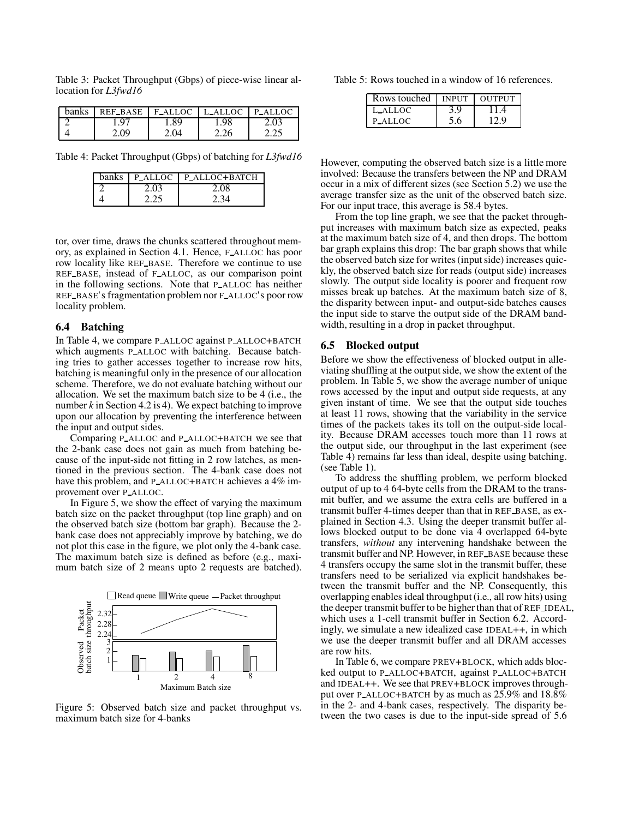Table 3: Packet Throughput (Gbps) of piece-wise linear allocation for *L3fwd16*

| banks | REF_BASE |      | F_ALLOC   L_ALLOC | P ALLOC |
|-------|----------|------|-------------------|---------|
|       | 1.97     | 89   | 1.98              |         |
|       | 2.09-    | 2.04 | 2.26              |         |

Table 4: Packet Throughput (Gbps) of batching for *L3fwd16*

| $banks$ $P_{\text{ALLOC}}$ | P_ALLOC+BATCH |
|----------------------------|---------------|
| 2.03                       |               |
| 2.2                        |               |

tor, over time, draws the chunks scattered throughout memory, as explained in Section 4.1. Hence, F ALLOC has poor row locality like REF BASE. Therefore we continue to use REF BASE, instead of F ALLOC, as our comparison point in the following sections. Note that P ALLOC has neither REF BASE's fragmentation problem nor F ALLOC's poor row locality problem.

# **6.4 Batching**

In Table 4, we compare P ALLOC against P ALLOC+BATCH which augments P ALLOC with batching. Because batching tries to gather accesses together to increase row hits, batching is meaningful only in the presence of our allocation scheme. Therefore, we do not evaluate batching without our allocation. We set the maximum batch size to be 4 (i.e., the number *k* in Section 4.2 is 4). We expect batching to improve upon our allocation by preventing the interference between the input and output sides.

Comparing P ALLOC and P ALLOC+BATCH we see that the 2-bank case does not gain as much from batching because of the input-side not fitting in 2 row latches, as mentioned in the previous section. The 4-bank case does not have this problem, and P\_ALLOC+BATCH achieves a 4% improvement over P ALLOC.

In Figure 5, we show the effect of varying the maximum batch size on the packet throughput (top line graph) and on the observed batch size (bottom bar graph). Because the 2 bank case does not appreciably improve by batching, we do not plot this case in the figure, we plot only the 4-bank case. The maximum batch size is defined as before (e.g., maximum batch size of 2 means upto 2 requests are batched).



Figure 5: Observed batch size and packet throughput vs. maximum batch size for 4-banks

Table 5: Rows touched in a window of 16 references.

| Rows touched I INPUT |     | <b>OUTPUT</b> |
|----------------------|-----|---------------|
| L_ALLOC              |     |               |
| P ALLOC              | 5.6 |               |

However, computing the observed batch size is a little more involved: Because the transfers between the NP and DRAM occur in a mix of different sizes (see Section 5.2) we use the average transfer size as the unit of the observed batch size. For our input trace, this average is 58.4 bytes.

From the top line graph, we see that the packet throughput increases with maximum batch size as expected, peaks at the maximum batch size of 4, and then drops. The bottom bar graph explains this drop: The bar graph shows that while the observed batch size for writes(inputside) increases quickly, the observed batch size for reads (output side) increases slowly. The output side locality is poorer and frequent row misses break up batches. At the maximum batch size of 8, the disparity between input- and output-side batches causes the input side to starve the output side of the DRAM bandwidth, resulting in a drop in packet throughput.

### **6.5 Blocked output**

Before we show the effectiveness of blocked output in alleviating shuffling at the output side, we show the extent of the problem. In Table 5, we show the average number of unique rows accessed by the input and output side requests, at any given instant of time. We see that the output side touches at least 11 rows, showing that the variability in the service times of the packets takes its toll on the output-side locality. Because DRAM accesses touch more than 11 rows at the output side, our throughput in the last experiment (see Table 4) remains far less than ideal, despite using batching. (see Table 1).

To address the shuffling problem, we perform blocked output of up to 4 64-byte cells from the DRAM to the transmit buffer, and we assume the extra cells are buffered in a transmit buffer 4-times deeper than that in REF BASE, as explained in Section 4.3. Using the deeper transmit buffer allows blocked output to be done via 4 overlapped 64-byte transfers, *without* any intervening handshake between the transmit buffer and NP. However, in REF BASE because these 4 transfers occupy the same slot in the transmit buffer, these transfers need to be serialized via explicit handshakes between the transmit buffer and the NP. Consequently, this overlapping enables ideal throughput(i.e., all row hits) using the deeper transmit buffer to be higher than that of REF\_IDEAL, which uses a 1-cell transmit buffer in Section 6.2. Accordingly, we simulate a new idealized case IDEAL++, in which we use the deeper transmit buffer and all DRAM accesses are row hits.

In Table 6, we compare PREV+BLOCK, which adds blocked output to P ALLOC+BATCH, against P ALLOC+BATCH and IDEAL++. We see that PREV+BLOCK improves throughput over P\_ALLOC+BATCH by as much as 25.9% and 18.8% in the 2- and 4-bank cases, respectively. The disparity between the two cases is due to the input-side spread of 5.6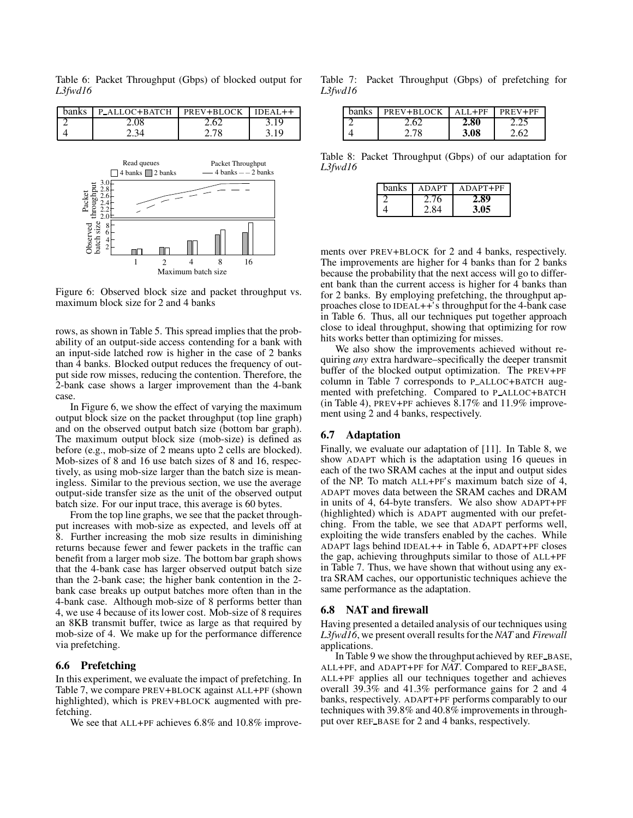|                     | 2.08                                     |                |                    | 2.62               | 3.19 |
|---------------------|------------------------------------------|----------------|--------------------|--------------------|------|
|                     | 2.34                                     |                |                    | 2.78               | 3.19 |
|                     |                                          |                |                    |                    |      |
|                     | Read queues                              |                |                    | Packet Throughput  |      |
|                     | 4 banks $\Box$ 2 banks                   |                |                    | 4 banks $-2$ banks |      |
|                     | 3.0                                      |                |                    |                    |      |
| Packet<br>throughpt | $_{2.6}$                                 |                |                    |                    |      |
|                     | 2.2<br>2.0                               |                |                    |                    |      |
|                     | 8                                        |                |                    |                    |      |
|                     | 6<br>$\overline{\mathcal{L}}$            |                |                    |                    |      |
|                     | Observed<br>batch size<br>$\mathfrak{D}$ |                |                    |                    |      |
|                     |                                          | $\mathfrak{D}$ |                    | 16<br>8            |      |
|                     |                                          |                | Maximum batch size |                    |      |

Table 6: Packet Throughput (Gbps) of blocked output for *L3fwd16*

banks P\_ALLOC+BATCH PREV+BLOCK DEAL++

Figure 6: Observed block size and packet throughput vs. maximum block size for 2 and 4 banks

rows, as shown in Table 5. This spread implies that the probability of an output-side access contending for a bank with an input-side latched row is higher in the case of 2 banks than 4 banks. Blocked output reduces the frequency of output side row misses, reducing the contention. Therefore, the 2-bank case shows a larger improvement than the 4-bank case.

In Figure 6, we show the effect of varying the maximum output block size on the packet throughput (top line graph) and on the observed output batch size (bottom bar graph). The maximum output block size (mob-size) is defined as before (e.g., mob-size of 2 means upto 2 cells are blocked). Mob-sizes of 8 and 16 use batch sizes of 8 and 16, respectively, as using mob-size larger than the batch size is meaningless. Similar to the previous section, we use the average output-side transfer size as the unit of the observed output batch size. For our input trace, this average is 60 bytes.

From the top line graphs, we see that the packet throughput increases with mob-size as expected, and levels off at 8. Further increasing the mob size results in diminishing returns because fewer and fewer packets in the traffic can benefit from a larger mob size. The bottom bar graph shows that the 4-bank case has larger observed output batch size than the 2-bank case; the higher bank contention in the 2 bank case breaks up output batches more often than in the 4-bank case. Although mob-size of 8 performs better than 4, we use 4 because of its lower cost. Mob-size of 8 requires an 8KB transmit buffer, twice as large as that required by mob-size of 4. We make up for the performance difference via prefetching.

# **6.6 Prefetching**

In this experiment, we evaluate the impact of prefetching. In Table 7, we compare PREV+BLOCK against ALL+PF (shown highlighted), which is PREV+BLOCK augmented with prefetching.

We see that ALL+PF achieves 6.8% and 10.8% improve-

Table 7: Packet Throughput (Gbps) of prefetching for *L3fwd16*

| hanks | PREV+BLOCK | $AIJ + PF$ | PREV+PF |
|-------|------------|------------|---------|
|       | 61         | 2.80       |         |
|       | 2.78       | 3.08       | 62      |

Table 8: Packet Throughput (Gbps) of our adaptation for *L3fwd16*

| banks | ADAPT | $ADAPT+PF$ |
|-------|-------|------------|
|       | 2.76  |            |
|       |       | 3.05       |

ments over PREV+BLOCK for 2 and 4 banks, respectively. The improvements are higher for 4 banks than for 2 banks because the probability that the next access will go to different bank than the current access is higher for 4 banks than for 2 banks. By employing prefetching, the throughput approaches close to IDEAL++'s throughput for the 4-bank case in Table 6. Thus, all our techniques put together approach close to ideal throughput, showing that optimizing for row hits works better than optimizing for misses.

We also show the improvements achieved without requiring *any* extra hardware–specifically the deeper transmit buffer of the blocked output optimization. The PREV+PF column in Table 7 corresponds to P ALLOC+BATCH augmented with prefetching. Compared to P ALLOC+BATCH (in Table 4), PREV+PF achieves 8.17% and 11.9% improvement using 2 and 4 banks, respectively.

# **6.7 Adaptation**

Finally, we evaluate our adaptation of [11]. In Table 8, we show ADAPT which is the adaptation using 16 queues in each of the two SRAM caches at the input and output sides of the NP. To match ALL+PF's maximum batch size of 4, ADAPT moves data between the SRAM caches and DRAM in units of 4, 64-byte transfers. We also show ADAPT+PF (highlighted) which is ADAPT augmented with our prefetching. From the table, we see that ADAPT performs well, exploiting the wide transfers enabled by the caches. While ADAPT lags behind IDEAL++ in Table 6, ADAPT+PF closes the gap, achieving throughputs similar to those of ALL+PF in Table 7. Thus, we have shown that without using any extra SRAM caches, our opportunistic techniques achieve the same performance as the adaptation.

#### **6.8 NAT and firewall**

Having presented a detailed analysis of our techniques using *L3fwd16*, we present overall results for the *NAT* and *Firewall* applications.

In Table 9 we show the throughput achieved by REF BASE, ALL+PF, and ADAPT+PF for *NAT*. Compared to REF BASE, ALL+PF applies all our techniques together and achieves overall 39.3% and 41.3% performance gains for 2 and 4 banks, respectively. ADAPT+PF performs comparably to our techniques with 39.8% and 40.8% improvements in throughput over REF BASE for 2 and 4 banks, respectively.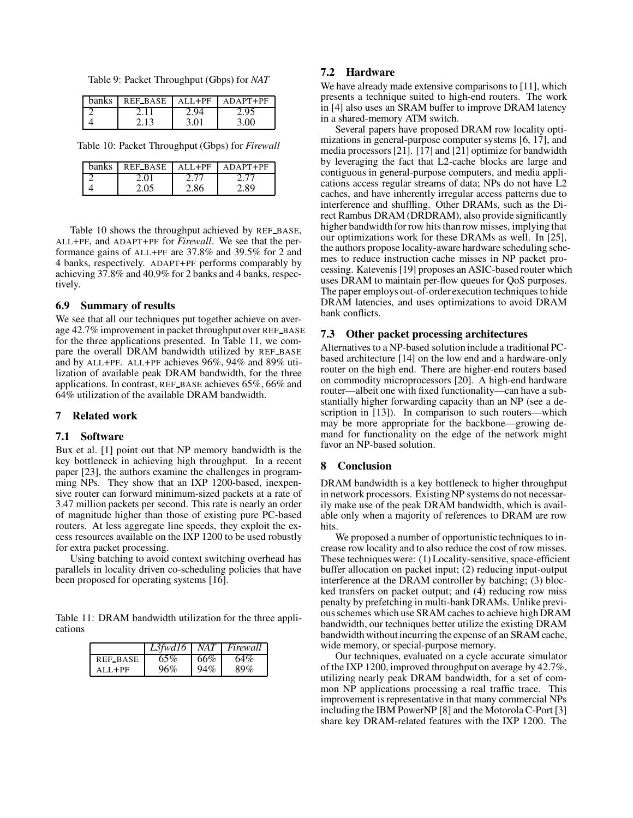Table 9: Packet Throughput (Gbps) for *NAT*

| banks REF_BASE | $AI.I + PF$ | $ADAPT+PF$ |
|----------------|-------------|------------|
| 211            |             | 2.95       |
| 2.13           | 3.01        | 3.00       |

Table 10: Packet Throughput (Gbps) for *Firewall*

| banks REF_BASE | $AI.I + PF$ | $ADAPT+PF$ |
|----------------|-------------|------------|
|                | 2.77        | -977       |
| 2.05           | 2.86        | 2.89       |

Table 10 shows the throughput achieved by REF BASE, ALL+PF, and ADAPT+PF for *Firewall*. We see that the performance gains of ALL+PF are 37.8% and 39.5% for 2 and 4 banks, respectively. ADAPT+PF performs comparably by achieving 37.8% and 40.9% for 2 banks and 4 banks, respectively.

# **6.9 Summary of results**

We see that all our techniques put together achieve on average 42.7% improvement in packet throughput over REF\_BASE for the three applications presented. In Table 11, we compare the overall DRAM bandwidth utilized by REF BASE and by ALL+PF. ALL+PF achieves 96%, 94% and 89% utilization of available peak DRAM bandwidth, for the three applications. In contrast, REF BASE achieves 65%, 66% and 64% utilization of the available DRAM bandwidth.

# **7 Related work**

# **7.1 Software**

Bux et al. [1] point out that NP memory bandwidth is the key bottleneck in achieving high throughput. In a recent paper [23], the authors examine the challenges in programming NPs. They show that an IXP 1200-based, inexpensive router can forward minimum-sized packets at a rate of 3.47 million packets per second. This rate is nearly an order of magnitude higher than those of existing pure PC-based routers. At less aggregate line speeds, they exploit the excess resources available on the IXP 1200 to be used robustly for extra packet processing.

Using batching to avoid context switching overhead has parallels in locality driven co-scheduling policies that have been proposed for operating systems [16].

Table 11: DRAM bandwidth utilization for the three applications

|             | $L3$ fwd16   NAT   Firewall |     |        |
|-------------|-----------------------------|-----|--------|
| REF_BASE    | 65%                         | 66% | 64%    |
| $AI.I + PF$ | 96%                         | 94% | $89\%$ |

# **7.2 Hardware**

We have already made extensive comparisons to [11], which presents a technique suited to high-end routers. The work in [4] also uses an SRAM buffer to improve DRAM latency in a shared-memory ATM switch.

Several papers have proposed DRAM row locality optimizations in general-purpose computer systems [6, 17], and media processors [21]. [17] and [21] optimize for bandwidth by leveraging the fact that L2-cache blocks are large and contiguous in general-purpose computers, and media applications access regular streams of data; NPs do not have L2 caches, and have inherently irregular access patterns due to interference and shuffling. Other DRAMs, such as the Direct Rambus DRAM (DRDRAM), also provide significantly higher bandwidth for row hits than row misses, implying that our optimizations work for these DRAMs as well. In [25], the authors propose locality-aware hardware scheduling schemes to reduce instruction cache misses in NP packet processing. Katevenis [19] proposes an ASIC-based router which uses DRAM to maintain per-flow queues for QoS purposes. The paper employs out-of-order execution techniques to hide DRAM latencies, and uses optimizations to avoid DRAM bank conflicts.

# **7.3 Other packet processing architectures**

Alternatives to a NP-based solution include a traditional PCbased architecture [14] on the low end and a hardware-only router on the high end. There are higher-end routers based on commodity microprocessors [20]. A high-end hardware router—albeit one with fixed functionality—can have a substantially higher forwarding capacity than an NP (see a description in [13]). In comparison to such routers—which may be more appropriate for the backbone—growing demand for functionality on the edge of the network might favor an NP-based solution.

# **8 Conclusion**

DRAM bandwidth is a key bottleneck to higher throughput in network processors. Existing NP systems do not necessarily make use of the peak DRAM bandwidth, which is available only when a majority of references to DRAM are row hits.

We proposed a number of opportunistic techniques to increase row locality and to also reduce the cost of row misses. These techniques were: (1) Locality-sensitive, space-efficient buffer allocation on packet input; (2) reducing input-output interference at the DRAM controller by batching; (3) blocked transfers on packet output; and (4) reducing row miss penalty by prefetching in multi-bank DRAMs. Unlike previousschemes which use SRAM caches to achieve high DRAM bandwidth, our techniques better utilize the existing DRAM bandwidth without incurring the expense of an SRAM cache, wide memory, or special-purpose memory.

Our techniques, evaluated on a cycle accurate simulator of the IXP 1200, improved throughput on average by 42.7%, utilizing nearly peak DRAM bandwidth, for a set of common NP applications processing a real traffic trace. This improvement is representative in that many commercial NPs including the IBM PowerNP [8] and the Motorola C-Port [3] share key DRAM-related features with the IXP 1200. The